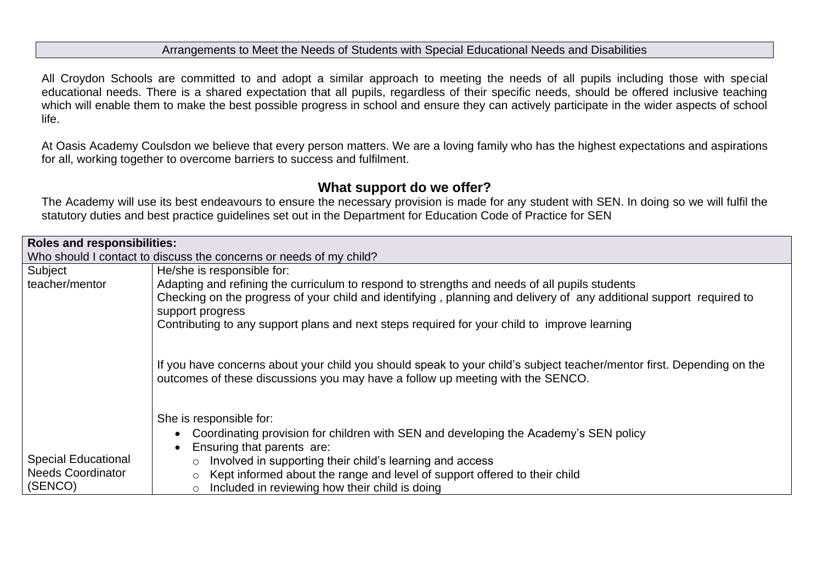### Arrangements to Meet the Needs of Students with Special Educational Needs and Disabilities

All Croydon Schools are committed to and adopt a similar approach to meeting the needs of all pupils including those with special educational needs. There is a shared expectation that all pupils, regardless of their specific needs, should be offered inclusive teaching which will enable them to make the best possible progress in school and ensure they can actively participate in the wider aspects of school life.

At Oasis Academy Coulsdon we believe that every person matters. We are a loving family who has the highest expectations and aspirations for all, working together to overcome barriers to success and fulfilment.

# **What support do we offer?**

The Academy will use its best endeavours to ensure the necessary provision is made for any student with SEN. In doing so we will fulfil the statutory duties and best practice guidelines set out in the Department for Education Code of Practice for SEN

| <b>Roles and responsibilities:</b>                                 |                                                                                                                                                                                                                                                                                                                                          |  |  |
|--------------------------------------------------------------------|------------------------------------------------------------------------------------------------------------------------------------------------------------------------------------------------------------------------------------------------------------------------------------------------------------------------------------------|--|--|
| Who should I contact to discuss the concerns or needs of my child? |                                                                                                                                                                                                                                                                                                                                          |  |  |
| Subject                                                            | He/she is responsible for:                                                                                                                                                                                                                                                                                                               |  |  |
| teacher/mentor                                                     | Adapting and refining the curriculum to respond to strengths and needs of all pupils students<br>Checking on the progress of your child and identifying, planning and delivery of any additional support required to<br>support progress<br>Contributing to any support plans and next steps required for your child to improve learning |  |  |
|                                                                    | If you have concerns about your child you should speak to your child's subject teacher/mentor first. Depending on the<br>outcomes of these discussions you may have a follow up meeting with the SENCO.                                                                                                                                  |  |  |
|                                                                    | She is responsible for:                                                                                                                                                                                                                                                                                                                  |  |  |
|                                                                    | Coordinating provision for children with SEN and developing the Academy's SEN policy                                                                                                                                                                                                                                                     |  |  |
|                                                                    | Ensuring that parents are:                                                                                                                                                                                                                                                                                                               |  |  |
| <b>Special Educational</b>                                         | Involved in supporting their child's learning and access<br>$\circ$                                                                                                                                                                                                                                                                      |  |  |
| <b>Needs Coordinator</b>                                           | Kept informed about the range and level of support offered to their child<br>$\circ$                                                                                                                                                                                                                                                     |  |  |
| (SENCO)                                                            | Included in reviewing how their child is doing<br>$\bigcirc$                                                                                                                                                                                                                                                                             |  |  |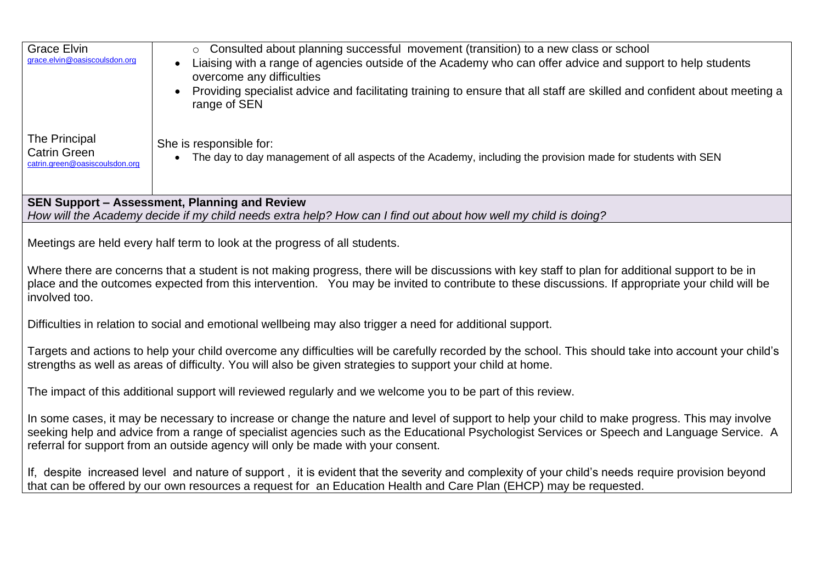| <b>Grace Elvin</b><br>grace.elvin@oasiscoulsdon.org                                                                                                                                                                                                                                                                                                                               | ○ Consulted about planning successful movement (transition) to a new class or school<br>Liaising with a range of agencies outside of the Academy who can offer advice and support to help students<br>overcome any difficulties<br>Providing specialist advice and facilitating training to ensure that all staff are skilled and confident about meeting a<br>$\bullet$<br>range of SEN |  |
|-----------------------------------------------------------------------------------------------------------------------------------------------------------------------------------------------------------------------------------------------------------------------------------------------------------------------------------------------------------------------------------|------------------------------------------------------------------------------------------------------------------------------------------------------------------------------------------------------------------------------------------------------------------------------------------------------------------------------------------------------------------------------------------|--|
| The Principal<br><b>Catrin Green</b><br>catrin.green@oasiscoulsdon.org                                                                                                                                                                                                                                                                                                            | She is responsible for:<br>The day to day management of all aspects of the Academy, including the provision made for students with SEN<br>$\bullet$                                                                                                                                                                                                                                      |  |
| SEN Support - Assessment, Planning and Review<br>How will the Academy decide if my child needs extra help? How can I find out about how well my child is doing?                                                                                                                                                                                                                   |                                                                                                                                                                                                                                                                                                                                                                                          |  |
| Meetings are held every half term to look at the progress of all students.                                                                                                                                                                                                                                                                                                        |                                                                                                                                                                                                                                                                                                                                                                                          |  |
| Where there are concerns that a student is not making progress, there will be discussions with key staff to plan for additional support to be in<br>place and the outcomes expected from this intervention. You may be invited to contribute to these discussions. If appropriate your child will be<br>involved too.                                                             |                                                                                                                                                                                                                                                                                                                                                                                          |  |
| Difficulties in relation to social and emotional wellbeing may also trigger a need for additional support.                                                                                                                                                                                                                                                                        |                                                                                                                                                                                                                                                                                                                                                                                          |  |
| Targets and actions to help your child overcome any difficulties will be carefully recorded by the school. This should take into account your child's<br>strengths as well as areas of difficulty. You will also be given strategies to support your child at home.                                                                                                               |                                                                                                                                                                                                                                                                                                                                                                                          |  |
| The impact of this additional support will reviewed regularly and we welcome you to be part of this review.                                                                                                                                                                                                                                                                       |                                                                                                                                                                                                                                                                                                                                                                                          |  |
| In some cases, it may be necessary to increase or change the nature and level of support to help your child to make progress. This may involve<br>seeking help and advice from a range of specialist agencies such as the Educational Psychologist Services or Speech and Language Service. A<br>referral for support from an outside agency will only be made with your consent. |                                                                                                                                                                                                                                                                                                                                                                                          |  |
| If, despite increased level and nature of support, it is evident that the severity and complexity of your child's needs require provision beyond<br>that can be offered by our own resources a request for an Education Health and Care Plan (EHCP) may be requested.                                                                                                             |                                                                                                                                                                                                                                                                                                                                                                                          |  |
|                                                                                                                                                                                                                                                                                                                                                                                   |                                                                                                                                                                                                                                                                                                                                                                                          |  |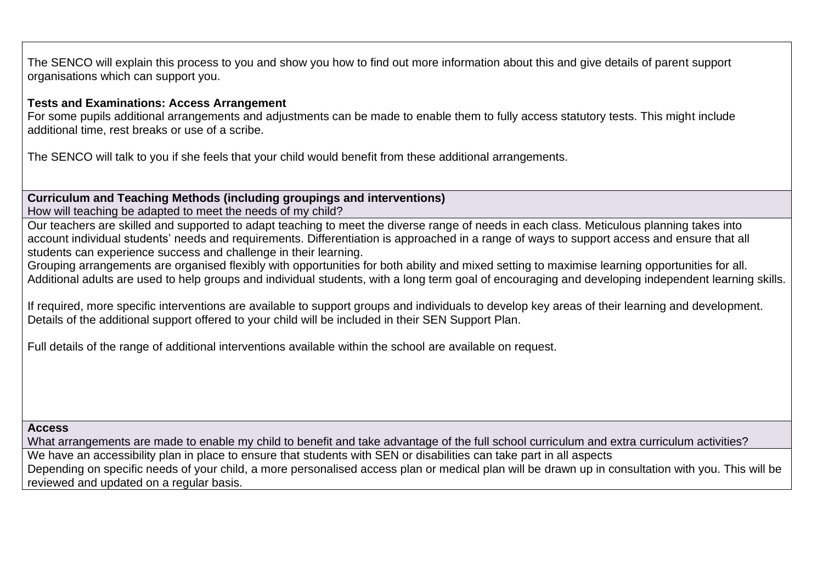The SENCO will explain this process to you and show you how to find out more information about this and give details of parent support organisations which can support you.

#### **Tests and Examinations: Access Arrangement**

For some pupils additional arrangements and adjustments can be made to enable them to fully access statutory tests. This might include additional time, rest breaks or use of a scribe.

The SENCO will talk to you if she feels that your child would benefit from these additional arrangements.

**Curriculum and Teaching Methods (including groupings and interventions)** How will teaching be adapted to meet the needs of my child?

Our teachers are skilled and supported to adapt teaching to meet the diverse range of needs in each class. Meticulous planning takes into account individual students' needs and requirements. Differentiation is approached in a range of ways to support access and ensure that all students can experience success and challenge in their learning.

Grouping arrangements are organised flexibly with opportunities for both ability and mixed setting to maximise learning opportunities for all. Additional adults are used to help groups and individual students, with a long term goal of encouraging and developing independent learning skills.

If required, more specific interventions are available to support groups and individuals to develop key areas of their learning and development. Details of the additional support offered to your child will be included in their SEN Support Plan.

Full details of the range of additional interventions available within the school are available on request.

#### **Access**

What arrangements are made to enable my child to benefit and take advantage of the full school curriculum and extra curriculum activities? We have an accessibility plan in place to ensure that students with SEN or disabilities can take part in all aspects Depending on specific needs of your child, a more personalised access plan or medical plan will be drawn up in consultation with you. This will be reviewed and updated on a regular basis.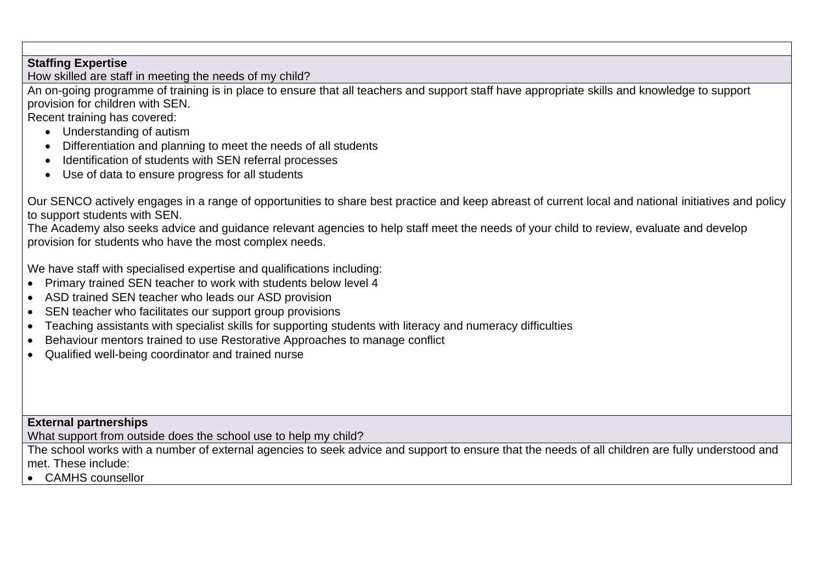# **Staffing Expertise**

How skilled are staff in meeting the needs of my child?

An on-going programme of training is in place to ensure that all teachers and support staff have appropriate skills and knowledge to support provision for children with SEN.

Recent training has covered:

- Understanding of autism
- Differentiation and planning to meet the needs of all students
- Identification of students with SEN referral processes
- Use of data to ensure progress for all students

Our SENCO actively engages in a range of opportunities to share best practice and keep abreast of current local and national initiatives and policy to support students with SEN.

The Academy also seeks advice and guidance relevant agencies to help staff meet the needs of your child to review, evaluate and develop provision for students who have the most complex needs.

We have staff with specialised expertise and qualifications including:

- Primary trained SEN teacher to work with students below level 4
- ASD trained SEN teacher who leads our ASD provision
- SEN teacher who facilitates our support group provisions
- Teaching assistants with specialist skills for supporting students with literacy and numeracy difficulties
- Behaviour mentors trained to use Restorative Approaches to manage conflict
- Qualified well-being coordinator and trained nurse

### **External partnerships**

What support from outside does the school use to help my child?

The school works with a number of external agencies to seek advice and support to ensure that the needs of all children are fully understood and met. These include:

• CAMHS counsellor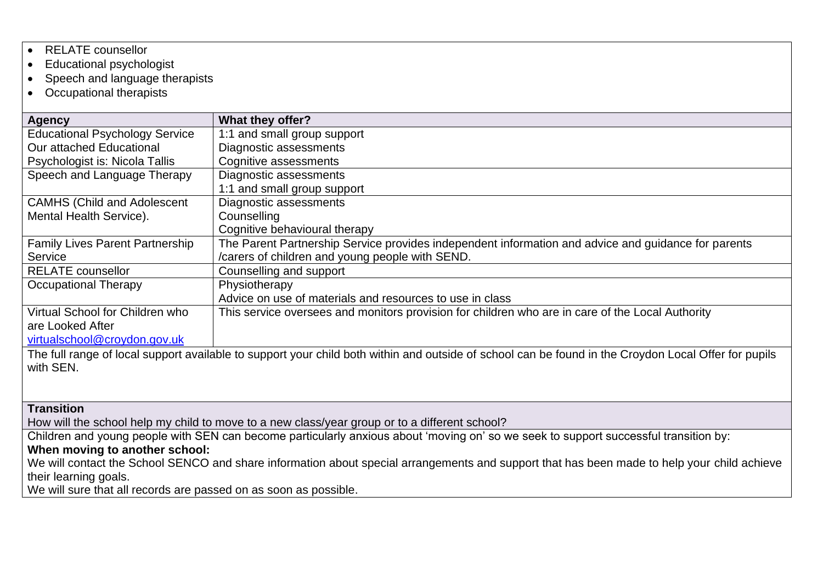- RELATE counsellor
- Educational psychologist
- Speech and language therapists
- Occupational therapists

| Agency                                                                                                                                               | What they offer?                                                                                    |  |  |
|------------------------------------------------------------------------------------------------------------------------------------------------------|-----------------------------------------------------------------------------------------------------|--|--|
| <b>Educational Psychology Service</b>                                                                                                                | 1:1 and small group support                                                                         |  |  |
| Our attached Educational                                                                                                                             | Diagnostic assessments                                                                              |  |  |
| Psychologist is: Nicola Tallis                                                                                                                       | Cognitive assessments                                                                               |  |  |
| Speech and Language Therapy                                                                                                                          | Diagnostic assessments                                                                              |  |  |
|                                                                                                                                                      | 1:1 and small group support                                                                         |  |  |
| <b>CAMHS (Child and Adolescent</b>                                                                                                                   | Diagnostic assessments                                                                              |  |  |
| Mental Health Service).                                                                                                                              | Counselling                                                                                         |  |  |
|                                                                                                                                                      | Cognitive behavioural therapy                                                                       |  |  |
| <b>Family Lives Parent Partnership</b>                                                                                                               | The Parent Partnership Service provides independent information and advice and guidance for parents |  |  |
| Service                                                                                                                                              | /carers of children and young people with SEND.                                                     |  |  |
| <b>RELATE</b> counsellor                                                                                                                             | Counselling and support                                                                             |  |  |
| Occupational Therapy                                                                                                                                 | Physiotherapy                                                                                       |  |  |
|                                                                                                                                                      | Advice on use of materials and resources to use in class                                            |  |  |
| Virtual School for Children who                                                                                                                      | This service oversees and monitors provision for children who are in care of the Local Authority    |  |  |
| are Looked After                                                                                                                                     |                                                                                                     |  |  |
| virtualschool@croydon.gov.uk                                                                                                                         |                                                                                                     |  |  |
| The full range of local support available to support your child both within and outside of school can be found in the Croydon Local Offer for pupils |                                                                                                     |  |  |

**Transition** 

with SEN.

How will the school help my child to move to a new class/year group or to a different school?

Children and young people with SEN can become particularly anxious about 'moving on' so we seek to support successful transition by:

## **When moving to another school:**

We will contact the School SENCO and share information about special arrangements and support that has been made to help your child achieve their learning goals.

We will sure that all records are passed on as soon as possible.